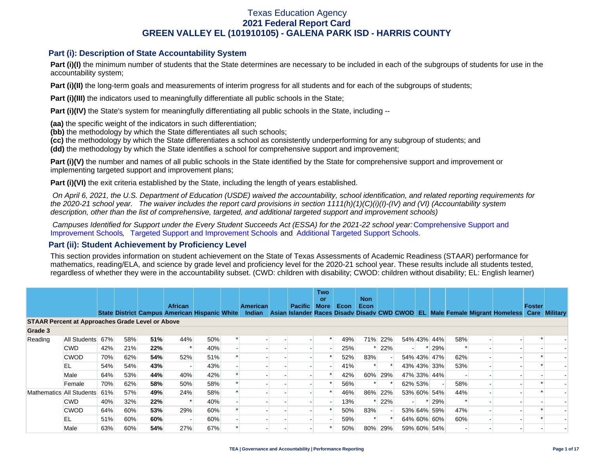### **Part (i): Description of State Accountability System**

Part (i)(I) the minimum number of students that the State determines are necessary to be included in each of the subgroups of students for use in the accountability system;

**Part (i)(II)** the long-term goals and measurements of interim progress for all students and for each of the subgroups of students;

**Part (i)(III)** the indicators used to meaningfully differentiate all public schools in the State;

**Part (i)(IV)** the State's system for meaningfully differentiating all public schools in the State, including --

**(aa)** the specific weight of the indicators in such differentiation;

**(bb)** the methodology by which the State differentiates all such schools;

**(cc)** the methodology by which the State differentiates a school as consistently underperforming for any subgroup of students; and

**(dd)** the methodology by which the State identifies a school for comprehensive support and improvement;

**Part (i)(V)** the number and names of all public schools in the State identified by the State for comprehensive support and improvement or implementing targeted support and improvement plans;

**Part (i)(VI)** the exit criteria established by the State, including the length of years established.

 *On April 6, 2021, the U.S. Department of Education (USDE) waived the accountability, school identification, and related reporting requirements for the 2020-21 school year. The waiver includes the report card provisions in section 1111(h)(1)(C)(i)(I)-(IV) and (VI) (Accountability system description, other than the list of comprehensive, targeted, and additional targeted support and improvement schools)* 

*Campuses Identified for Support under the Every Student Succeeds Act (ESSA) for the 2021-22 school year:* [Comprehensive Support and](https://tea.texas.gov/sites/default/files/comprehensive_support_2021.xlsx) [Improvement Schools](https://tea.texas.gov/sites/default/files/comprehensive_support_2021.xlsx), [Targeted Support and Improvement Schools](https://tea.texas.gov/sites/default/files/targeted_support_2021.xlsx) and [Additional Targeted Support Schools.](https://tea.texas.gov/sites/default/files/additional_targeted_support_2021.xlsx)

### **Part (ii): Student Achievement by Proficiency Level**

This section provides information on student achievement on the State of Texas Assessments of Academic Readiness (STAAR) performance for mathematics, reading/ELA, and science by grade level and proficiency level for the 2020-21 school year. These results include all students tested, regardless of whether they were in the accountability subset. (CWD: children with disability; CWOD: children without disability; EL: English learner)

|                                                         |              |     |     |     | <b>African</b> |                                                | <b>American</b> | <b>Pacific</b> | <b>Two</b><br>or<br>More | Econ | <b>Non</b><br>Econ |         |         |             |     |                                                                                           | Foster |  |
|---------------------------------------------------------|--------------|-----|-----|-----|----------------|------------------------------------------------|-----------------|----------------|--------------------------|------|--------------------|---------|---------|-------------|-----|-------------------------------------------------------------------------------------------|--------|--|
|                                                         |              |     |     |     |                | State District Campus American Hispanic White  | Indian          |                |                          |      |                    |         |         |             |     | Asian Islander Races Disady Disady CWD CWOD EL Male Female Migrant Homeless Care Military |        |  |
| <b>STAAR Percent at Approaches Grade Level or Above</b> |              |     |     |     |                |                                                |                 |                |                          |      |                    |         |         |             |     |                                                                                           |        |  |
| Grade 3                                                 |              |     |     |     |                |                                                |                 |                |                          |      |                    |         |         |             |     |                                                                                           |        |  |
| Reading                                                 | All Students | 67% | 58% | 51% | 44%            | 50%                                            |                 |                |                          | 49%  |                    | 71% 22% |         | 54% 43% 44% | 58% |                                                                                           |        |  |
|                                                         | <b>CWD</b>   | 42% | 21% | 22% |                | 40%                                            |                 |                |                          | 25%  |                    | 22%     |         | * 29%       |     |                                                                                           |        |  |
|                                                         | <b>CWOD</b>  | 70% | 62% | 54% | 52%            | 51%                                            |                 |                |                          | 52%  | 83%                |         |         | 54% 43% 47% | 62% |                                                                                           |        |  |
|                                                         | EL           | 54% | 54% | 43% |                | 43%                                            |                 |                |                          | 41%  |                    |         |         | 43% 43% 33% | 53% |                                                                                           |        |  |
|                                                         | Male         | 64% | 53% | 44% |                | 40%<br>42%<br>42%<br>60%<br>29%<br>47% 33% 44% |                 |                |                          |      |                    |         |         |             |     |                                                                                           |        |  |
|                                                         | Female       | 70% | 62% | 58% | 50%            | 58%                                            |                 |                |                          | 56%  |                    |         | 62% 53% |             | 58% |                                                                                           |        |  |
| Mathematics All Students                                |              | 61% | 57% | 49% | 24%            | 58%                                            |                 |                |                          | 46%  | 86%                | 22%     |         | 53% 60% 54% | 44% |                                                                                           |        |  |
|                                                         | <b>CWD</b>   | 40% | 32% | 22% |                | 40%                                            |                 |                |                          | 13%  |                    | 22%     |         | * 29%       |     |                                                                                           |        |  |
|                                                         | <b>CWOD</b>  | 64% | 60% | 53% | 29%            | 60%                                            |                 |                |                          | 50%  | 83%                |         |         | 53% 64% 59% | 47% |                                                                                           |        |  |
|                                                         | EL           | 51% | 60% | 60% |                | 60%                                            |                 |                |                          | 59%  |                    |         |         | 64% 60% 60% | 60% |                                                                                           |        |  |
|                                                         | Male         | 63% | 60% | 54% | 27%            | 67%                                            |                 |                |                          | 50%  | 80%                | 29%     |         | 59% 60% 54% |     |                                                                                           |        |  |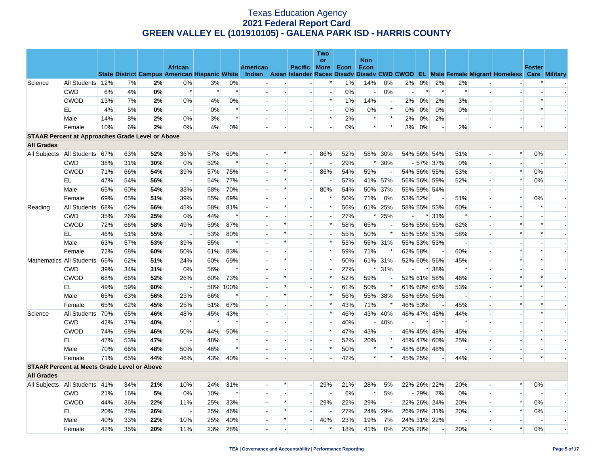|                                                         |                               |     |     |     |                          |        |        |                 |                          |                          | <b>Two</b>               |       |                    |                          |                          |         |                |                          |                          |                                                                                                                                                |                |                          |
|---------------------------------------------------------|-------------------------------|-----|-----|-----|--------------------------|--------|--------|-----------------|--------------------------|--------------------------|--------------------------|-------|--------------------|--------------------------|--------------------------|---------|----------------|--------------------------|--------------------------|------------------------------------------------------------------------------------------------------------------------------------------------|----------------|--------------------------|
|                                                         |                               |     |     |     | <b>African</b>           |        |        | <b>American</b> |                          | Pacific More             | <b>or</b>                | Econ  | <b>Non</b><br>Econ |                          |                          |         |                |                          |                          |                                                                                                                                                | <b>Foster</b>  |                          |
|                                                         |                               |     |     |     |                          |        |        |                 |                          |                          |                          |       |                    |                          |                          |         |                |                          |                          | State District Campus American Hispanic White Indian Asian Islander Races Disadv Disadv CWD CWOD EL Male Female Migrant Homeless Care Military |                |                          |
| Science                                                 | All Students 12%              |     | 7%  | 2%  | 0%                       | 3%     | 0%     |                 |                          |                          | *                        | $1\%$ | 14%                | 0%                       | 2%                       | $0\%$   | 2%             | 2%                       |                          |                                                                                                                                                |                |                          |
|                                                         | <b>CWD</b>                    | 6%  | 4%  | 0%  | $\ast$                   | $\ast$ | $\ast$ |                 |                          | $\mathbf{r}$             | $\overline{a}$           | 0%    | $\overline{a}$     | 0%                       | $\overline{\phantom{a}}$ | $\ast$  | $\ast$         | $\ast$                   |                          |                                                                                                                                                |                |                          |
|                                                         | <b>CWOD</b>                   | 13% | 7%  | 2%  | 0%                       | 4%     | 0%     |                 |                          | $\blacksquare$           | $\ast$                   | 1%    | 14%                | $\overline{\phantom{a}}$ | 2%                       | 0%      | 2%             | 3%                       | $\overline{\phantom{a}}$ |                                                                                                                                                |                |                          |
|                                                         | EL                            | 4%  | 5%  | 0%  | $\overline{a}$           | 0%     | $\ast$ |                 | $\overline{a}$           | $\overline{a}$           | $\overline{a}$           | 0%    | 0%                 | $\ast$                   | $0\%$                    | 0%      | 0%             | $0\%$                    | $\overline{a}$           |                                                                                                                                                | $\ast$         |                          |
|                                                         | Male                          | 14% | 8%  | 2%  | 0%                       | 3%     | $\ast$ |                 | $\overline{\phantom{a}}$ | $\sim$                   | $\ast$                   | 2%    | $\ast$             | $\ast$                   | 2%                       | 0%      | 2%             | $\overline{\phantom{a}}$ |                          |                                                                                                                                                |                |                          |
|                                                         | Female                        | 10% | 6%  | 2%  | 0%                       | 4%     | 0%     |                 |                          |                          |                          | $0\%$ | $\ast$             | $\ast$                   | 3%                       | 0%      |                | 2%                       |                          |                                                                                                                                                | $\ast$         |                          |
| <b>STAAR Percent at Approaches Grade Level or Above</b> |                               |     |     |     |                          |        |        |                 |                          |                          |                          |       |                    |                          |                          |         |                |                          |                          |                                                                                                                                                |                |                          |
| <b>All Grades</b>                                       |                               |     |     |     |                          |        |        |                 |                          |                          |                          |       |                    |                          |                          |         |                |                          |                          |                                                                                                                                                |                |                          |
| All Subjects   All Students 67%                         |                               |     | 63% | 52% | 36%                      | 57%    | 69%    |                 | $\ast$                   | $\overline{\phantom{a}}$ | 86%                      | 52%   |                    | 58% 30%                  |                          |         | 54% 56% 54%    | 51%                      |                          | $\ast$                                                                                                                                         | 0%             |                          |
|                                                         | <b>CWD</b>                    | 38% | 31% | 30% | 0%                       | 52%    |        |                 |                          |                          |                          | 29%   | $\ast$             | 30%                      |                          |         | $-57\%$ 37%    | 0%                       | $\overline{\phantom{a}}$ |                                                                                                                                                |                |                          |
|                                                         | <b>CWOD</b>                   | 71% | 66% | 54% | 39%                      | 57%    | 75%    |                 | $\ast$                   | $\overline{\phantom{a}}$ | 86%                      | 54%   | 59%                |                          |                          |         | 54% 56% 55%    | 53%                      | $\overline{a}$           | $\ast$                                                                                                                                         | 0%             |                          |
|                                                         | EL                            | 47% | 54% | 56% | $\overline{\phantom{a}}$ | 54%    | 77%    |                 | *                        |                          |                          | 57%   |                    | 41% 57%                  |                          |         | 56% 56% 59%    | 52%                      |                          | $\ast$                                                                                                                                         | 0%             | $\overline{\phantom{a}}$ |
|                                                         | Male                          | 65% | 60% | 54% | 33%                      | 58%    | 70%    |                 | $\ast$                   | $\overline{\phantom{a}}$ | 80%                      | 54%   |                    | 50% 37%                  |                          |         | 55% 59% 54%    | $\overline{\phantom{a}}$ |                          |                                                                                                                                                | $\overline{a}$ | н.                       |
|                                                         | Female                        | 69% | 65% | 51% | 39%                      | 55%    | 69%    |                 |                          |                          | $\ast$                   | 50%   | 71%                | 0%                       |                          | 53% 52% |                | 51%                      |                          | $\ast$                                                                                                                                         | 0%             |                          |
| Reading                                                 | All Students 68%              |     | 62% | 56% | 45%                      | 58%    | 81%    |                 | $\ast$                   | $\overline{a}$           | $\ast$                   | 56%   |                    | 61% 25%                  |                          |         | 58% 55% 53%    | 60%                      | $\overline{a}$           | $\ast$                                                                                                                                         | $\ast$         | н.                       |
|                                                         | <b>CWD</b>                    | 35% | 26% | 25% | 0%                       | 44%    | $\ast$ |                 |                          |                          | $\overline{a}$           | 27%   | $\ast$             | 25%                      |                          |         | $* 31%$        | $\ast$                   |                          |                                                                                                                                                |                |                          |
|                                                         | <b>CWOD</b>                   | 72% | 66% | 58% | 49%                      | 59%    | 87%    |                 | $\ast$                   | $\blacksquare$           | $\ast$                   | 58%   | 65%                |                          |                          |         | 58% 55% 55%    | 62%                      |                          | $\ast$                                                                                                                                         | $\ast$         |                          |
|                                                         | EL                            | 46% | 51% | 55% |                          | 53%    | 80%    |                 | $\ast$                   |                          | $\blacksquare$           | 55%   | 50%                | $\ast$                   |                          |         | 55% 55% 53%    | 58%                      |                          | $\ast$                                                                                                                                         | $\ast$         |                          |
|                                                         | Male                          | 63% | 57% | 53% | 39%                      | 55%    | $\ast$ |                 | $\ast$                   | $\blacksquare$           | $\ast$                   | 53%   |                    | 55% 31%                  |                          |         | 55% 53% 53%    | $\overline{\phantom{a}}$ |                          |                                                                                                                                                |                |                          |
|                                                         | Female                        | 72% | 68% | 60% | 50%                      | 61%    | 83%    |                 |                          |                          | $\ast$                   | 59%   | 71%                |                          |                          | 62% 58% |                | 60%                      |                          | $\ast$                                                                                                                                         | $\ast$         |                          |
| Mathematics All Students                                |                               | 65% | 62% | 51% | 24%                      | 60%    | 69%    |                 | $\ast$                   | $\blacksquare$           | $\ast$                   | 50%   |                    | 61% 31%                  |                          |         | 52% 60% 56%    | 45%                      |                          | $\ast$                                                                                                                                         | $\ast$         |                          |
|                                                         | <b>CWD</b>                    | 39% | 34% | 31% | 0%                       | 56%    | $\ast$ |                 |                          | $\overline{a}$           | $\overline{a}$           | 27%   | $\ast$             | 31%                      | $\overline{\phantom{a}}$ |         | * 38%          | $\ast$                   |                          |                                                                                                                                                |                |                          |
|                                                         | <b>CWOD</b>                   | 68% | 66% | 52% | 26%                      | 60%    | 73%    |                 | $\ast$                   |                          | $\ast$                   | 52%   | 59%                |                          |                          |         | 52% 61% 58%    | 46%                      |                          |                                                                                                                                                | $\ast$         |                          |
|                                                         | EL                            | 49% | 59% | 60% | $\overline{\phantom{a}}$ | 58%    | 100%   |                 | $\ast$                   | $\blacksquare$           | $\blacksquare$           | 61%   | 50%                | $\ast$                   |                          |         | 61% 60% 65%    | 53%                      |                          | $\ast$                                                                                                                                         | $\ast$         |                          |
|                                                         | Male                          | 65% | 63% | 56% | 23%                      | 66%    | $\ast$ |                 | $\ast$                   |                          | $\ast$                   | 56%   |                    | 55% 38%                  |                          |         | 58% 65% 56%    |                          |                          |                                                                                                                                                |                |                          |
|                                                         | Female                        | 65% | 62% | 45% | 25%                      | 51%    | 67%    |                 |                          | $\blacksquare$           | $\ast$                   | 43%   | 71%                | $\ast$                   |                          | 46% 53% | $\blacksquare$ | 45%                      |                          | $\ast$                                                                                                                                         | $\ast$         |                          |
| Science                                                 | All Students 70%              |     | 65% | 46% | 48%                      | 45%    | 43%    |                 |                          |                          | $\ast$                   | 46%   |                    | 43% 40%                  |                          |         | 46% 47% 48%    | 44%                      |                          |                                                                                                                                                | $\ast$         |                          |
|                                                         | <b>CWD</b>                    | 42% | 37% | 40% | $\ast$                   | $\ast$ |        |                 |                          |                          |                          | 40%   |                    | $-40%$                   |                          |         |                | $\ast$                   |                          |                                                                                                                                                |                |                          |
|                                                         | <b>CWOD</b>                   | 74% | 68% | 46% | 50%                      | 44%    | 50%    |                 |                          | $\Delta$                 | $\ast$                   | 47%   | 43%                | $\overline{\phantom{a}}$ |                          |         | 46% 45% 48%    | 45%                      | $\sim$                   |                                                                                                                                                | $\ast$         |                          |
|                                                         | EL                            | 47% | 53% | 47% |                          | 48%    | $\ast$ |                 |                          | $\overline{\phantom{a}}$ | $\overline{\phantom{a}}$ | 52%   | 20%                | $\ast$                   |                          |         | 45% 47% 60%    | 25%                      |                          |                                                                                                                                                | $\ast$         |                          |
|                                                         | Male                          | 70% | 66% | 48% | 50%                      | 46%    | $\ast$ |                 | $\overline{a}$           | $\overline{a}$           | $\ast$                   | 50%   | $\ast$             | $\ast$                   |                          |         | 48% 60% 48%    | $\overline{\phantom{a}}$ |                          |                                                                                                                                                |                | $\overline{\phantom{a}}$ |
|                                                         | Female                        | 71% | 65% | 44% | 46%                      | 43%    | 40%    |                 |                          |                          |                          | 42%   | $\ast$             | $\ast$                   |                          | 45% 25% |                | 44%                      |                          |                                                                                                                                                | $\ast$         |                          |
| <b>STAAR Percent at Meets Grade Level or Above</b>      |                               |     |     |     |                          |        |        |                 |                          |                          |                          |       |                    |                          |                          |         |                |                          |                          |                                                                                                                                                |                |                          |
| <b>All Grades</b>                                       |                               |     |     |     |                          |        |        |                 |                          |                          |                          |       |                    |                          |                          |         |                |                          |                          |                                                                                                                                                |                |                          |
|                                                         | All Subjects All Students 41% |     | 34% | 21% | 10%                      | 24%    | 31%    |                 |                          | $\overline{\phantom{a}}$ | 29%                      | 21%   | 28%                | 5%                       |                          |         | 22% 26% 22%    | 20%                      | $\overline{\phantom{a}}$ | $\ast$                                                                                                                                         | $0\%$          |                          |
|                                                         | <b>CWD</b>                    | 21% | 16% | 5%  | 0%                       | 10%    | $\ast$ |                 |                          |                          | $\overline{\phantom{a}}$ | 6%    | $\ast$             | 5%                       |                          | $-29%$  | 7%             | 0%                       |                          |                                                                                                                                                |                |                          |
|                                                         | <b>CWOD</b>                   | 44% | 36% | 22% | 11%                      | 25%    | 33%    |                 | $\ast$                   | $\blacksquare$           | 29%                      | 22%   | 29%                |                          |                          |         | 22% 26% 24%    | 20%                      | $\overline{\phantom{a}}$ |                                                                                                                                                | 0%             |                          |
|                                                         | EL                            | 20% | 25% | 26% |                          | 25%    | 46%    |                 | $\ast$                   |                          |                          | 27%   | 24%                | 29%                      |                          |         | 26% 26% 31%    | 20%                      | $\overline{\phantom{a}}$ | $\ast$                                                                                                                                         | 0%             |                          |
|                                                         | Male                          | 40% | 33% | 22% | 10%                      | 25%    | 40%    |                 | $\ast$                   | $\overline{a}$           | 40%                      | 23%   | 19%                | 7%                       |                          |         | 24% 31% 22%    |                          |                          |                                                                                                                                                |                |                          |
|                                                         | Female                        | 42% | 35% | 20% | 11%                      | 23%    | 28%    |                 |                          |                          | $\ast$                   | 18%   | 41%                | 0%                       | 20% 20%                  |         |                | 20%                      |                          | $\ast$                                                                                                                                         | 0%             |                          |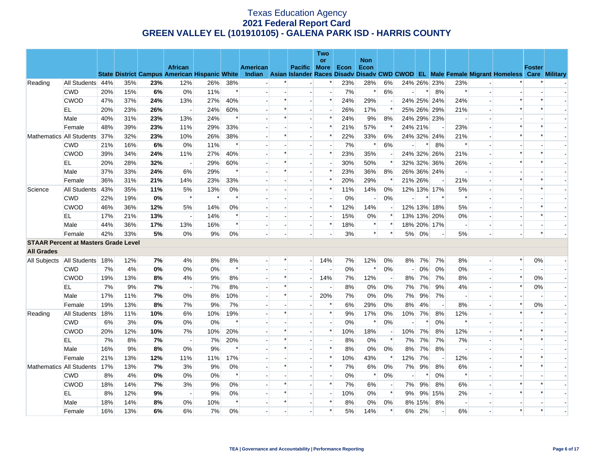|                               |                                             |     |     |     |                                                      |        |        |                 |        |                          | Two                      |       |                          |                          |                |         |                          |                          |                          |                                                                                                  |               |  |
|-------------------------------|---------------------------------------------|-----|-----|-----|------------------------------------------------------|--------|--------|-----------------|--------|--------------------------|--------------------------|-------|--------------------------|--------------------------|----------------|---------|--------------------------|--------------------------|--------------------------|--------------------------------------------------------------------------------------------------|---------------|--|
|                               |                                             |     |     |     | <b>African</b>                                       |        |        | <b>American</b> |        | Pacific More             | or                       | Econ  | <b>Non</b><br>Econ       |                          |                |         |                          |                          |                          |                                                                                                  | <b>Foster</b> |  |
|                               |                                             |     |     |     | <b>State District Campus American Hispanic White</b> |        |        |                 |        |                          |                          |       |                          |                          |                |         |                          |                          |                          | Indian Asian Islander Races Disady Disady CWD CWOD EL Male Female Migrant Homeless Care Military |               |  |
| Reading                       | All Students 44%                            |     | 35% | 23% | 12%                                                  | 26%    | 38%    |                 |        |                          | $\ast$                   | 23%   | 28%                      | 6%                       |                |         | 24% 26% 23%              | 23%                      |                          |                                                                                                  |               |  |
|                               | <b>CWD</b>                                  | 20% | 15% | 6%  | $0\%$                                                | 11%    | $\ast$ |                 |        |                          | $\overline{\phantom{a}}$ | 7%    | $\ast$                   | 6%                       |                | $\ast$  | 8%                       | $\ast$                   | $\blacksquare$           |                                                                                                  |               |  |
|                               | <b>CWOD</b>                                 | 47% | 37% | 24% | 13%                                                  | 27%    | 40%    |                 | $\ast$ |                          | $\ast$                   | 24%   | 29%                      | $\overline{\phantom{a}}$ |                |         | 24% 25% 24%              | 24%                      |                          | $\ast$                                                                                           |               |  |
|                               | EL                                          | 20% | 23% | 26% | $\overline{\phantom{a}}$                             | 24%    | 60%    |                 | $\ast$ | $\overline{\phantom{a}}$ | $\overline{\phantom{a}}$ | 26%   | 17%                      | $\ast$                   |                |         | 25% 26% 29%              | 21%                      | $\sim$                   | $\ast$                                                                                           |               |  |
|                               | Male                                        | 40% | 31% | 23% | 13%                                                  | 24%    | $\ast$ |                 | $\ast$ |                          | $\ast$                   | 24%   | 9%                       | 8%                       |                |         | 24% 29% 23%              | $\overline{\phantom{a}}$ | $\overline{\phantom{a}}$ |                                                                                                  |               |  |
|                               | Female                                      | 48% | 39% | 23% | 11%                                                  | 29%    | 33%    |                 |        |                          | $\ast$                   | 21%   | 57%                      | $\ast$                   |                | 24% 21% | $\overline{\phantom{a}}$ | 23%                      | $\overline{a}$           | $\ast$                                                                                           |               |  |
|                               | Mathematics All Students                    | 37% | 32% | 23% | 10%                                                  | 26%    | 38%    |                 | $\ast$ |                          | $\ast$                   | 22%   | 33%                      | 6%                       |                |         | 24% 32% 24%              | 21%                      | $\overline{\phantom{a}}$ | $\ast$                                                                                           |               |  |
|                               | <b>CWD</b>                                  | 21% | 16% | 6%  | 0%                                                   | 11%    | $\ast$ |                 |        |                          |                          | 7%    | $\ast$                   | 6%                       |                | $\ast$  | 8%                       | $\ast$                   |                          |                                                                                                  |               |  |
|                               | <b>CWOD</b>                                 | 39% | 34% | 24% | 11%                                                  | 27%    | 40%    |                 | *      |                          | $\ast$                   | 23%   | 35%                      | $\overline{\phantom{a}}$ |                |         | 24% 32% 26%              | 21%                      | $\rightarrow$            | *                                                                                                |               |  |
|                               | EL                                          | 20% | 28% | 32% | $\overline{\phantom{a}}$                             | 29%    | 60%    |                 | $\ast$ |                          |                          | 30%   | 50%                      | $\ast$                   |                |         | 32% 32% 36%              | 26%                      | $\overline{\phantom{a}}$ |                                                                                                  |               |  |
|                               | Male                                        | 37% | 33% | 24% | 6%                                                   | 29%    | $\ast$ |                 | $\ast$ |                          | $\ast$                   | 23%   | 36%                      | 8%                       |                |         | 26% 36% 24%              | $\overline{\phantom{a}}$ | $\overline{a}$           |                                                                                                  |               |  |
|                               | Female                                      | 36% | 31% | 21% | 14%                                                  | 23%    | 33%    |                 |        |                          | $\ast$                   | 20%   | 29%                      | $\ast$                   |                | 21% 26% | $\overline{\phantom{a}}$ | 21%                      | $\blacksquare$           |                                                                                                  |               |  |
| Science                       | All Students                                | 43% | 35% | 11% | 5%                                                   | 13%    | 0%     |                 |        |                          | $\ast$                   | 11%   | 14%                      | 0%                       |                |         | 12% 13% 17%              | 5%                       |                          |                                                                                                  |               |  |
|                               | <b>CWD</b>                                  | 22% | 19% | 0%  | $\ast$                                               | $\ast$ | $\ast$ |                 |        | $\overline{\phantom{a}}$ | $\overline{a}$           | $0\%$ | $\overline{\phantom{a}}$ | 0%                       |                |         | $\ast$                   | $\ast$                   | $\overline{a}$           |                                                                                                  |               |  |
|                               | <b>CWOD</b>                                 | 46% | 36% | 12% | 5%                                                   | 14%    | 0%     |                 |        | $\overline{\phantom{a}}$ | $\ast$                   | 12%   | 14%                      |                          |                |         | 12% 13% 18%              | 5%                       | $\blacksquare$           |                                                                                                  |               |  |
|                               | EL                                          | 17% | 21% | 13% | $\overline{a}$                                       | 14%    | $\ast$ |                 |        |                          | $\overline{a}$           | 15%   | 0%                       | $\ast$                   |                |         | 13% 13% 20%              | 0%                       | $\sim$                   |                                                                                                  |               |  |
|                               | Male                                        | 44% | 36% | 17% | 13%                                                  | 16%    | $\ast$ |                 |        | $\overline{\phantom{a}}$ | $\ast$                   | 18%   | $\ast$                   | $\ast$                   |                |         | 18% 20% 17%              | $\overline{\phantom{a}}$ | $\overline{\phantom{a}}$ |                                                                                                  |               |  |
|                               | Female                                      | 42% | 33% | 5%  | 0%                                                   | 9%     | 0%     |                 |        |                          |                          | 3%    | $\ast$                   | $\ast$                   | 5%             | 0%      | $\overline{\phantom{a}}$ | 5%                       |                          |                                                                                                  |               |  |
|                               | <b>STAAR Percent at Masters Grade Level</b> |     |     |     |                                                      |        |        |                 |        |                          |                          |       |                          |                          |                |         |                          |                          |                          |                                                                                                  |               |  |
| <b>All Grades</b>             |                                             |     |     |     |                                                      |        |        |                 |        |                          |                          |       |                          |                          |                |         |                          |                          |                          |                                                                                                  |               |  |
| All Subjects All Students 18% |                                             |     | 12% | 7%  | 4%                                                   | 8%     | 8%     |                 |        | $\overline{\phantom{a}}$ | 14%                      | 7%    | 12%                      | 0%                       | 8%             | 7%      | 7%                       | 8%                       | $\blacksquare$           | $\ast$                                                                                           | 0%            |  |
|                               | <b>CWD</b>                                  | 7%  | 4%  | 0%  | 0%                                                   | 0%     | $\ast$ |                 |        |                          | $\overline{\phantom{a}}$ | 0%    | $\ast$                   | 0%                       |                | 0%      | 0%                       | 0%                       | $\overline{a}$           |                                                                                                  |               |  |
|                               | <b>CWOD</b>                                 | 19% | 13% | 8%  | 4%                                                   | 9%     | 8%     |                 | $\ast$ |                          | 14%                      | 7%    | 12%                      | $\overline{\phantom{a}}$ | 8%             | 7%      | 7%                       | 8%                       | $\overline{\phantom{a}}$ | $\ast$                                                                                           | 0%            |  |
|                               | EL.                                         | 7%  | 9%  | 7%  | $\overline{\phantom{a}}$                             | 7%     | 8%     |                 | *      |                          | $\overline{\phantom{a}}$ | 8%    | $0\%$                    | 0%                       | 7%             | 7%      | 9%                       | 4%                       | $\overline{a}$           | $\ast$                                                                                           | 0%            |  |
|                               | Male                                        | 17% | 11% | 7%  | 0%                                                   | 8%     | 10%    |                 | $\ast$ |                          | 20%                      | 7%    | 0%                       | 0%                       | 7%             | 9%      | 7%                       | $\overline{\phantom{a}}$ | $\overline{\phantom{a}}$ |                                                                                                  |               |  |
|                               | Female                                      | 19% | 13% | 8%  | 7%                                                   | 9%     | 7%     |                 |        |                          | $\ast$                   | 6%    | 29%                      | 0%                       | 8%             | 4%      | $\overline{a}$           | 8%                       | $\overline{\phantom{a}}$ |                                                                                                  | 0%            |  |
| Reading                       | All Students                                | 18% | 11% | 10% | 6%                                                   | 10%    | 19%    |                 | *      |                          | $\ast$                   | 9%    | 17%                      | 0%                       | 10%            | 7%      | 8%                       | 12%                      | $\blacksquare$           | $\ast$                                                                                           |               |  |
|                               | <b>CWD</b>                                  | 6%  | 3%  | 0%  | 0%                                                   | $0\%$  | $\ast$ |                 |        |                          |                          | 0%    | $\ast$                   | 0%                       |                |         | 0%                       | $\ast$                   |                          |                                                                                                  |               |  |
|                               | <b>CWOD</b>                                 | 20% | 12% | 10% | 7%                                                   | 10%    | 20%    |                 | $\ast$ |                          | $\ast$                   | 10%   | 18%                      | $\overline{\phantom{a}}$ | 10%            | 7%      | 8%                       | 12%                      | $\overline{a}$           | $\ast$                                                                                           |               |  |
|                               | EL                                          | 7%  | 8%  | 7%  | $\overline{\phantom{a}}$                             | 7%     | 20%    |                 |        |                          | $\overline{\phantom{a}}$ | 8%    | 0%                       | $\ast$                   | 7%             | 7%      | 7%                       | 7%                       | $\blacksquare$           |                                                                                                  |               |  |
|                               | Male                                        | 16% | 9%  | 8%  | 0%                                                   | 9%     | $\ast$ |                 | $\ast$ |                          | $\ast$                   | 8%    | 0%                       | 0%                       | 8%             | 7%      | 8%                       | $\overline{\phantom{a}}$ | $\overline{a}$           |                                                                                                  |               |  |
|                               | Female                                      | 21% | 13% | 12% | 11%                                                  | 11%    | 17%    |                 |        |                          | $\ast$                   | 10%   | 43%                      | $\ast$                   | 12%            | 7%      | $\sim$                   | 12%                      | $\overline{a}$           |                                                                                                  |               |  |
|                               | Mathematics All Students                    | 17% | 13% | 7%  | 3%                                                   | 9%     | 0%     |                 | $\ast$ |                          | $\ast$                   | 7%    | 6%                       | 0%                       | 7%             | 9%      | 8%                       | 6%                       |                          | $\ast$                                                                                           |               |  |
|                               | <b>CWD</b>                                  | 8%  | 4%  | 0%  | 0%                                                   | 0%     | $\ast$ |                 |        |                          | $\overline{a}$           | 0%    | $\ast$                   | 0%                       | $\overline{a}$ | $\ast$  | 0%                       | $\ast$                   | $\overline{a}$           |                                                                                                  |               |  |
|                               | <b>CWOD</b>                                 | 18% | 14% | 7%  | 3%                                                   | 9%     | $0\%$  |                 | $\ast$ |                          | $\ast$                   | 7%    | 6%                       | $\overline{\phantom{a}}$ | 7%             | 9%      | 8%                       | 6%                       | $\blacksquare$           |                                                                                                  |               |  |
|                               | EL.                                         | 8%  | 12% | 9%  |                                                      | 9%     | 0%     |                 | $\ast$ |                          | $\overline{a}$           | 10%   | 0%                       | $\ast$                   | 9%             |         | 9% 15%                   | 2%                       |                          |                                                                                                  |               |  |
|                               | Male                                        | 18% | 14% | 8%  | 0%                                                   | 10%    | $\ast$ |                 | $\ast$ |                          | $\ast$                   | 8%    | 0%                       | 0%                       |                | 8% 15%  | 8%                       | $\overline{\phantom{a}}$ | $\overline{\phantom{a}}$ |                                                                                                  |               |  |
|                               | Female                                      | 16% | 13% | 6%  | 6%                                                   | 7%     | 0%     |                 |        |                          | $\ast$                   | 5%    | 14%                      | $\ast$                   | 6%             | 2%      | $\overline{\phantom{a}}$ | 6%                       |                          | $\ast$                                                                                           |               |  |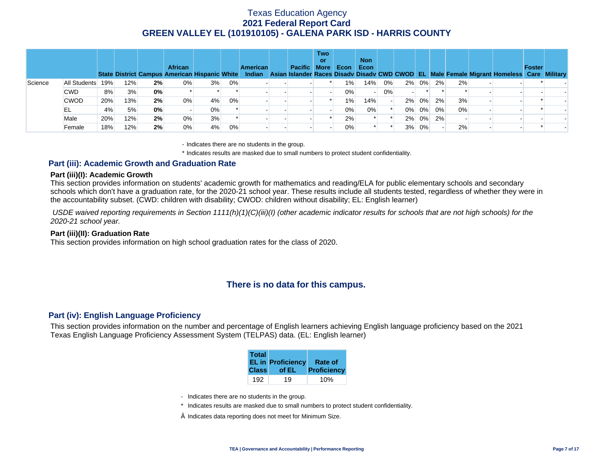|         |              |     |     |    | <b>African</b><br>State District Campus American Hispanic White |       |    | <b>American</b><br>Indian | <b>Pacific More</b> | Two<br>or | <b>Econ</b> | <b>Non</b><br>Econ |       |          |    |    | Asian Islander Races Disady Disady CWD CWOD EL Male Female Migrant Homeless Care Military | Foster |  |
|---------|--------------|-----|-----|----|-----------------------------------------------------------------|-------|----|---------------------------|---------------------|-----------|-------------|--------------------|-------|----------|----|----|-------------------------------------------------------------------------------------------|--------|--|
| Science | All Students | 19% | 12% | 2% | $0\%$                                                           | 3%    | 0% |                           |                     |           | $1\%$       | 14%                | $0\%$ | 2% 0%    | 2% | 2% |                                                                                           |        |  |
|         | <b>CWD</b>   | 8%  | 3%  | 0% |                                                                 |       |    |                           |                     |           | 0%          |                    | $0\%$ |          |    |    |                                                                                           |        |  |
|         | <b>CWOD</b>  | 20% | 13% | 2% | 0%                                                              | 4%    | 0% |                           |                     |           | $1\%$       | 14%                |       | 2% 0%    | 2% | 3% |                                                                                           |        |  |
|         | EL           | 4%  | 5%  | 0% |                                                                 | $0\%$ |    |                           |                     |           | 0%          | 0%                 |       | $0\%$ 0% | 0% | 0% |                                                                                           |        |  |
|         | Male         | 20% | 12% | 2% | 0%                                                              | 3%    |    |                           |                     |           | 2%          |                    |       | $2\%$ 0% | 2% |    |                                                                                           |        |  |
|         | Female       | 18% | 12% | 2% | 0%                                                              | 4%    | 0% |                           |                     |           | 0%          |                    |       | 3% 0%    |    | 2% |                                                                                           |        |  |

- Indicates there are no students in the group.

\* Indicates results are masked due to small numbers to protect student confidentiality.

### **Part (iii): Academic Growth and Graduation Rate**

#### **Part (iii)(I): Academic Growth**

This section provides information on students' academic growth for mathematics and reading/ELA for public elementary schools and secondary schools which don't have a graduation rate, for the 2020-21 school year. These results include all students tested, regardless of whether they were in the accountability subset. (CWD: children with disability; CWOD: children without disability; EL: English learner)

 *USDE waived reporting requirements in Section 1111(h)(1)(C)(iii)(I) (other academic indicator results for schools that are not high schools) for the 2020-21 school year.* 

#### **Part (iii)(II): Graduation Rate**

This section provides information on high school graduation rates for the class of 2020.

## **There is no data for this campus.**

### **Part (iv): English Language Proficiency**

This section provides information on the number and percentage of English learners achieving English language proficiency based on the 2021 Texas English Language Proficiency Assessment System (TELPAS) data. (EL: English learner)

| <b>Total</b> | <b>EL in Proficiency</b> | <b>Rate of</b> |
|--------------|--------------------------|----------------|
| <b>Class</b> | of EL                    | Proficiency    |
| 192          | 19                       |                |

- Indicates there are no students in the group.
- \* Indicates results are masked due to small numbers to protect student confidentiality.
- $\diamond$  Indicates data reporting does not meet for Minimum Size.